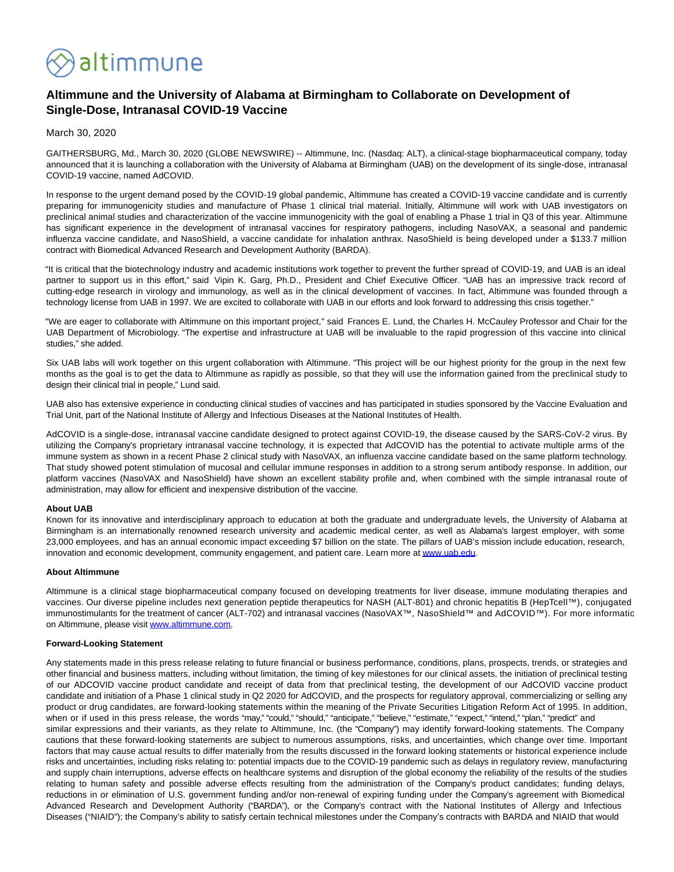

# **Altimmune and the University of Alabama at Birmingham to Collaborate on Development of Single-Dose, Intranasal COVID-19 Vaccine**

## March 30, 2020

GAITHERSBURG, Md., March 30, 2020 (GLOBE NEWSWIRE) -- Altimmune, Inc. (Nasdaq: ALT), a clinical-stage biopharmaceutical company, today announced that it is launching a collaboration with the University of Alabama at Birmingham (UAB) on the development of its single-dose, intranasal COVID-19 vaccine, named AdCOVID.

In response to the urgent demand posed by the COVID-19 global pandemic, Altimmune has created a COVID-19 vaccine candidate and is currently preparing for immunogenicity studies and manufacture of Phase 1 clinical trial material. Initially, Altimmune will work with UAB investigators on preclinical animal studies and characterization of the vaccine immunogenicity with the goal of enabling a Phase 1 trial in Q3 of this year. Altimmune has significant experience in the development of intranasal vaccines for respiratory pathogens, including NasoVAX, a seasonal and pandemic influenza vaccine candidate, and NasoShield, a vaccine candidate for inhalation anthrax. NasoShield is being developed under a \$133.7 million contract with Biomedical Advanced Research and Development Authority (BARDA).

"It is critical that the biotechnology industry and academic institutions work together to prevent the further spread of COVID-19, and UAB is an ideal partner to support us in this effort," said Vipin K. Garg, Ph.D., President and Chief Executive Officer. "UAB has an impressive track record of cutting-edge research in virology and immunology, as well as in the clinical development of vaccines. In fact, Altimmune was founded through a technology license from UAB in 1997. We are excited to collaborate with UAB in our efforts and look forward to addressing this crisis together."

"We are eager to collaborate with Altimmune on this important project," said Frances E. Lund, the Charles H. McCauley Professor and Chair for the UAB Department of Microbiology. "The expertise and infrastructure at UAB will be invaluable to the rapid progression of this vaccine into clinical studies," she added.

Six UAB labs will work together on this urgent collaboration with Altimmune. "This project will be our highest priority for the group in the next few months as the goal is to get the data to Altimmune as rapidly as possible, so that they will use the information gained from the preclinical study to design their clinical trial in people," Lund said.

UAB also has extensive experience in conducting clinical studies of vaccines and has participated in studies sponsored by the Vaccine Evaluation and Trial Unit, part of the National Institute of Allergy and Infectious Diseases at the National Institutes of Health.

AdCOVID is a single-dose, intranasal vaccine candidate designed to protect against COVID-19, the disease caused by the SARS-CoV-2 virus. By utilizing the Company's proprietary intranasal vaccine technology, it is expected that AdCOVID has the potential to activate multiple arms of the immune system as shown in a recent Phase 2 clinical study with NasoVAX, an influenza vaccine candidate based on the same platform technology. That study showed potent stimulation of mucosal and cellular immune responses in addition to a strong serum antibody response. In addition, our platform vaccines (NasoVAX and NasoShield) have shown an excellent stability profile and, when combined with the simple intranasal route of administration, may allow for efficient and inexpensive distribution of the vaccine.

#### **About UAB**

Known for its innovative and interdisciplinary approach to education at both the graduate and undergraduate levels, the University of Alabama at Birmingham is an internationally renowned research university and academic medical center, as well as Alabama's largest employer, with some 23,000 employees, and has an annual economic impact exceeding \$7 billion on the state. The pillars of UAB's mission include education, research, innovation and economic development, community engagement, and patient care. Learn more a[t www.uab.edu.](https://www.globenewswire.com/Tracker?data=RIO8S8RAfDoXnfr9wRHB9I4XaRjRpo0hm5-dRA__5TiDjVARBWxPwAHuiFS9h5oY1Tgswc-HXBdOc1b5s-Y7HQ==)

#### **About Altimmune**

Altimmune is a clinical stage biopharmaceutical company focused on developing treatments for liver disease, immune modulating therapies and vaccines. Our diverse pipeline includes next generation peptide therapeutics for NASH (ALT-801) and chronic hepatitis B (HepTcell™), conjugated immunostimulants for the treatment of cancer (ALT-702) and intranasal vaccines (NasoVAX™, NasoShield™ and AdCOVID™). For more information on Altimmune, please visi[t www.altimmune.com.](https://www.globenewswire.com/Tracker?data=AGF8LG7TA1Ht64UepCJ03NBgnqiY0ecEcMYim9JMxfOW21p1HhspWYi1e4bAEJIUlVvP9HRWdwTbldU87Qirwg==)

### **Forward-Looking Statement**

Any statements made in this press release relating to future financial or business performance, conditions, plans, prospects, trends, or strategies and other financial and business matters, including without limitation, the timing of key milestones for our clinical assets, the initiation of preclinical testing of our ADCOVID vaccine product candidate and receipt of data from that preclinical testing, the development of our AdCOVID vaccine product candidate and initiation of a Phase 1 clinical study in Q2 2020 for AdCOVID, and the prospects for regulatory approval, commercializing or selling any product or drug candidates, are forward-looking statements within the meaning of the Private Securities Litigation Reform Act of 1995. In addition, when or if used in this press release, the words "may," "could," "should," "anticipate," "believe," "estimate," "expect," "intend," "plan," "predict" and similar expressions and their variants, as they relate to Altimmune, Inc. (the "Company") may identify forward-looking statements. The Company cautions that these forward-looking statements are subject to numerous assumptions, risks, and uncertainties, which change over time. Important factors that may cause actual results to differ materially from the results discussed in the forward looking statements or historical experience include risks and uncertainties, including risks relating to: potential impacts due to the COVID-19 pandemic such as delays in regulatory review, manufacturing and supply chain interruptions, adverse effects on healthcare systems and disruption of the global economy the reliability of the results of the studies relating to human safety and possible adverse effects resulting from the administration of the Company's product candidates; funding delays, reductions in or elimination of U.S. government funding and/or non-renewal of expiring funding under the Company's agreement with Biomedical Advanced Research and Development Authority ("BARDA"), or the Company's contract with the National Institutes of Allergy and Infectious Diseases ("NIAID"); the Company's ability to satisfy certain technical milestones under the Company's contracts with BARDA and NIAID that would